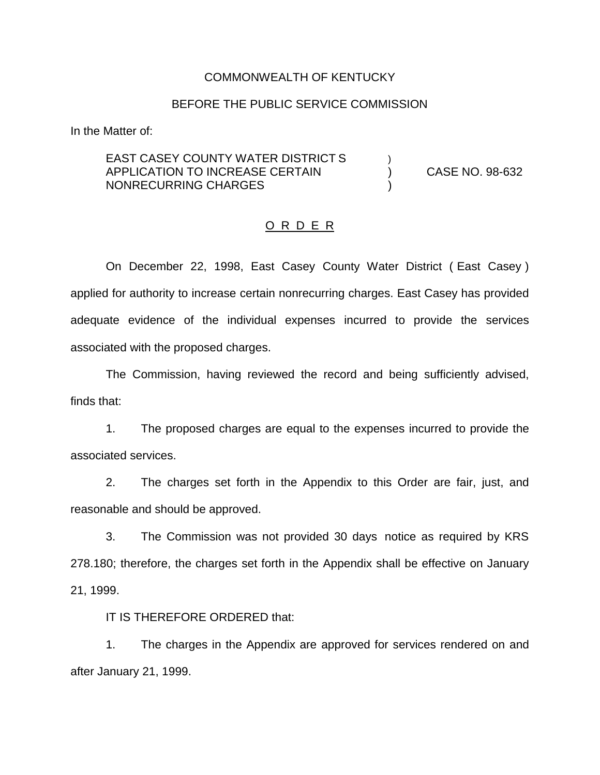#### COMMONWEALTH OF KENTUCKY

#### BEFORE THE PUBLIC SERVICE COMMISSION

In the Matter of:

## EAST CASEY COUNTY WATER DISTRICT S APPLICATION TO INCREASE CERTAIN (CASE NO. 98-632) NONRECURRING CHARGES )

## O R D E R

On December 22, 1998, East Casey County Water District ( East Casey ) applied for authority to increase certain nonrecurring charges. East Casey has provided adequate evidence of the individual expenses incurred to provide the services associated with the proposed charges.

The Commission, having reviewed the record and being sufficiently advised, finds that:

1. The proposed charges are equal to the expenses incurred to provide the associated services.

2. The charges set forth in the Appendix to this Order are fair, just, and reasonable and should be approved.

3. The Commission was not provided 30 days notice as required by KRS 278.180; therefore, the charges set forth in the Appendix shall be effective on January 21, 1999.

IT IS THEREFORE ORDERED that:

1. The charges in the Appendix are approved for services rendered on and after January 21, 1999.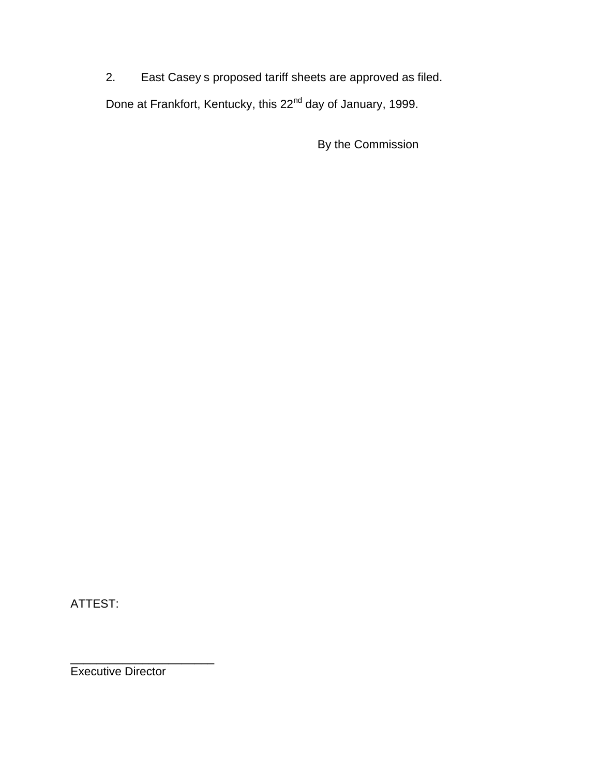2. East Casey s proposed tariff sheets are approved as filed.

Done at Frankfort, Kentucky, this 22<sup>nd</sup> day of January, 1999.

By the Commission

ATTEST:

\_\_\_\_\_\_\_\_\_\_\_\_\_\_\_\_\_\_\_\_\_\_ Executive Director